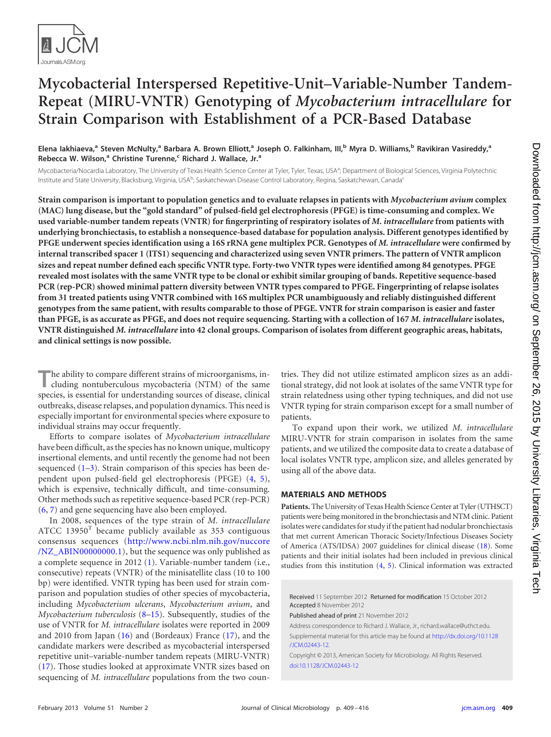

# **Mycobacterial Interspersed Repetitive-Unit–Variable-Number Tandem-Repeat (MIRU-VNTR) Genotyping of** *Mycobacterium intracellulare* **for Strain Comparison with Establishment of a PCR-Based Database**

**Elena Iakhiaeva, <sup>a</sup> Steven McNulty, <sup>a</sup> Barbara A. Brown Elliott, <sup>a</sup> Joseph O. Falkinham, III,b Myra D. Williams, <sup>b</sup> Ravikiran Vasireddy, a Rebecca W. Wilson, <sup>a</sup> Christine Turenne, <sup>c</sup> Richard J. Wallace, Jr.a**

Mycobacteria/Nocardia Laboratory, The University of Texas Health Science Center at Tyler, Tyler, Texas, USA<sup>a</sup>; Department of Biological Sciences, Virginia Polytechnic Institute and State University, Blacksburg, Virginia, USA<sup>b</sup>; Saskatchewan Disease Control Laboratory, Regina, Saskatchewan, Canada<sup>c</sup>

**Strain comparison is important to population genetics and to evaluate relapses in patients with** *Mycobacterium avium* **complex (MAC) lung disease, but the "gold standard" of pulsed-field gel electrophoresis (PFGE) is time-consuming and complex. We used variable-number tandem repeats (VNTR) for fingerprinting of respiratory isolates of** *M. intracellulare* **from patients with underlying bronchiectasis, to establish a nonsequence-based database for population analysis. Different genotypes identified by PFGE underwent species identification using a 16S rRNA gene multiplex PCR. Genotypes of** *M. intracellulare* **were confirmed by internal transcribed spacer 1 (ITS1) sequencing and characterized using seven VNTR primers. The pattern of VNTR amplicon sizes and repeat number defined each specific VNTR type. Forty-two VNTR types were identified among 84 genotypes. PFGE revealed most isolates with the same VNTR type to be clonal or exhibit similar grouping of bands. Repetitive sequence-based PCR (rep-PCR) showed minimal pattern diversity between VNTR types compared to PFGE. Fingerprinting of relapse isolates from 31 treated patients using VNTR combined with 16S multiplex PCR unambiguously and reliably distinguished different genotypes from the same patient, with results comparable to those of PFGE. VNTR for strain comparison is easier and faster than PFGE, is as accurate as PFGE, and does not require sequencing. Starting with a collection of 167** *M. intracellulare* **isolates, VNTR distinguished** *M. intracellulare* **into 42 clonal groups. Comparison of isolates from different geographic areas, habitats, and clinical settings is now possible.**

**T**he ability to compare different strains of microorganisms, including nontuberculous mycobacteria (NTM) of the same species, is essential for understanding sources of disease, clinical outbreaks, disease relapses, and population dynamics. This need is especially important for environmental species where exposure to individual strains may occur frequently.

Efforts to compare isolates of *Mycobacterium intracellulare* have been difficult, as the species has no known unique, multicopy insertional elements, and until recently the genome had not been sequenced  $(1-3)$  $(1-3)$ . Strain comparison of this species has been dependent upon pulsed-field gel electrophoresis (PFGE) [\(4,](#page-6-2) [5\)](#page-6-3), which is expensive, technically difficult, and time-consuming. Other methods such as repetitive sequence-based PCR (rep-PCR) [\(6,](#page-6-4) [7\)](#page-6-5) and gene sequencing have also been employed.

In 2008, sequences of the type strain of *M. intracellulare* ATCC 13950<sup>T</sup> became publicly available as 353 contiguous consensus sequences [\(http://www.ncbi.nlm.nih.gov/nuccore](http://www.ncbi.nlm.nih.gov/nuccore/NZ_ABIN00000000.1) [/NZ\\_ABIN00000000.1\)](http://www.ncbi.nlm.nih.gov/nuccore/NZ_ABIN00000000.1), but the sequence was only published as a complete sequence in 2012 [\(1\)](#page-6-0). Variable-number tandem (i.e., consecutive) repeats (VNTR) of the minisatellite class (10 to 100 bp) were identified. VNTR typing has been used for strain comparison and population studies of other species of mycobacteria, including *Mycobacterium ulcerans*, *Mycobacterium avium*, and *Mycobacterium tuberculosis* [\(8](#page-6-6)[–15\)](#page-6-7). Subsequently, studies of the use of VNTR for *M. intracellulare* isolates were reported in 2009 and 2010 from Japan [\(16\)](#page-6-8) and (Bordeaux) France [\(17\)](#page-6-9), and the candidate markers were described as mycobacterial interspersed repetitive unit–variable-number tandem repeats (MIRU-VNTR) [\(17\)](#page-6-9). Those studies looked at approximate VNTR sizes based on sequencing of *M. intracellulare* populations from the two countries. They did not utilize estimated amplicon sizes as an additional strategy, did not look at isolates of the same VNTR type for strain relatedness using other typing techniques, and did not use VNTR typing for strain comparison except for a small number of patients.

To expand upon their work, we utilized *M. intracellulare* MIRU-VNTR for strain comparison in isolates from the same patients, and we utilized the composite data to create a database of local isolates VNTR type, amplicon size, and alleles generated by using all of the above data.

# **MATERIALS AND METHODS**

**Patients.** The University of Texas Health Science Center at Tyler (UTHSCT) patients were being monitored in the bronchiectasis and NTM clinic. Patient isolates were candidates for study if the patient had nodular bronchiectasis that met current American Thoracic Society/Infectious Diseases Society of America (ATS/IDSA) 2007 guidelines for clinical disease [\(18\)](#page-7-0). Some patients and their initial isolates had been included in previous clinical studies from this institution [\(4,](#page-6-2) [5\)](#page-6-3). Clinical information was extracted

Received 11 September 2012 Returned for modification 15 October 2012 Accepted 8 November 2012

Published ahead of print 21 November 2012

Address correspondence to Richard J. Wallace, Jr., richard.wallace@uthct.edu.

Supplemental material for this article may be found at [http://dx.doi.org/10.1128](http://dx.doi.org/10.1128/JCM.02443-12) [/JCM.02443-12.](http://dx.doi.org/10.1128/JCM.02443-12)

Copyright © 2013, American Society for Microbiology. All Rights Reserved. [doi:10.1128/JCM.02443-12](http://dx.doi.org/10.1128/JCM.02443-12)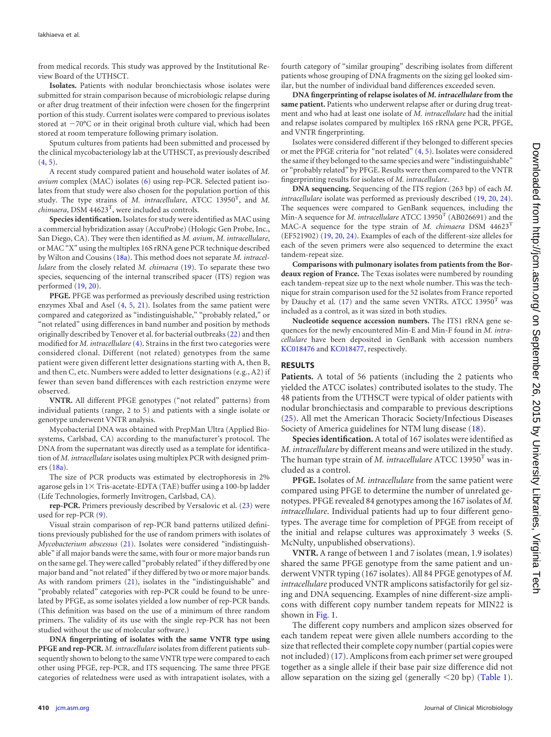from medical records. This study was approved by the Institutional Review Board of the UTHSCT.

**Isolates.** Patients with nodular bronchiectasis whose isolates were submitted for strain comparison because of microbiologic relapse during or after drug treatment of their infection were chosen for the fingerprint portion of this study. Current isolates were compared to previous isolates stored at  $-70^{\circ}$ C or in their original broth culture vial, which had been stored at room temperature following primary isolation.

Sputum cultures from patients had been submitted and processed by the clinical mycobacteriology lab at the UTHSCT, as previously described  $(4, 5)$  $(4, 5)$  $(4, 5)$ .

A recent study compared patient and household water isolates of *M. avium* complex (MAC) isolates [\(6\)](#page-6-4) using rep-PCR. Selected patient isolates from that study were also chosen for the population portion of this study. The type strains of *M. intracellulare*, ATCC 13950T , and *M. chimaera*, DSM 44623T , were included as controls.

**Species identification.**Isolates for study were identified as MAC using a commercial hybridization assay (AccuProbe) (Hologic Gen Probe, Inc., San Diego, CA). They were then identified as *M. avium*, *M. intracellulare*, or MAC "X" using the multiplex 16S rRNA gene PCR technique described by Wilton and Cousins [\(18a\)](#page-7-1). This method does not separate *M. intracellulare* from the closely related *M. chimaera* [\(19\)](#page-7-2). To separate these two species, sequencing of the internal transcribed spacer (ITS) region was performed [\(19,](#page-7-2) [20\)](#page-7-3).

**PFGE.** PFGE was performed as previously described using restriction enzymes XbaI and AseI [\(4,](#page-6-2) [5,](#page-6-3) [21\)](#page-7-4). Isolates from the same patient were compared and categorized as "indistinguishable," "probably related," or "not related" using differences in band number and position by methods originally described by Tenover et al. for bacterial outbreaks [\(22\)](#page-7-5) and then modified for *M. intracellulare*[\(4\)](#page-6-2). Strains in the first two categories were considered clonal. Different (not related) genotypes from the same patient were given different letter designations starting with A, then B, and then C, etc. Numbers were added to letter designations (e.g., A2) if fewer than seven band differences with each restriction enzyme were observed.

**VNTR.** All different PFGE genotypes ("not related" patterns) from individual patients (range, 2 to 5) and patients with a single isolate or genotype underwent VNTR analysis.

Mycobacterial DNA was obtained with PrepMan Ultra (Applied Biosystems, Carlsbad, CA) according to the manufacturer's protocol. The DNA from the supernatant was directly used as a template for identification of *M. intracellulare*isolates using multiplex PCR with designed primers [\(18a\)](#page-7-1).

The size of PCR products was estimated by electrophoresis in 2% agarose gels in 1 $\times$  Tris-acetate-EDTA (TAE) buffer using a 100-bp ladder (Life Technologies, formerly Invitrogen, Carlsbad, CA).

**rep-PCR.** Primers previously described by Versalovic et al. [\(23\)](#page-7-6) were used for rep-PCR [\(9\)](#page-6-10).

Visual strain comparison of rep-PCR band patterns utilized definitions previously published for the use of random primers with isolates of *Mycobacterium abscessus* [\(21\)](#page-7-4). Isolates were considered "indistinguishable" if all major bands were the same, with four or more major bands run on the same gel. They were called "probably related" if they differed by one major band and "not related" if they differed by two or more major bands. As with random primers [\(21\)](#page-7-4), isolates in the "indistinguishable" and "probably related" categories with rep-PCR could be found to be unrelated by PFGE, as some isolates yielded a low number of rep-PCR bands. (This definition was based on the use of a minimum of three random primers. The validity of its use with the single rep-PCR has not been studied without the use of molecular software.)

**DNA fingerprinting of isolates with the same VNTR type using PFGE and rep-PCR.** *M. intracellulare*isolates from different patients subsequently shown to belong to the same VNTR type were compared to each other using PFGE, rep-PCR, and ITS sequencing. The same three PFGE categories of relatedness were used as with intrapatient isolates, with a

fourth category of "similar grouping" describing isolates from different patients whose grouping of DNA fragments on the sizing gel looked similar, but the number of individual band differences exceeded seven.

**DNA fingerprinting of relapse isolates of** *M. intracellulare* **from the same patient.** Patients who underwent relapse after or during drug treatment and who had at least one isolate of *M. intracellulare* had the initial and relapse isolates compared by multiplex 16S rRNA gene PCR, PFGE, and VNTR fingerprinting.

Isolates were considered different if they belonged to different species or met the PFGE criteria for "not related" [\(4,](#page-6-2) [5\)](#page-6-3). Isolates were considered the same if they belonged to the same species and were "indistinguishable" or "probably related" by PFGE. Results were then compared to the VNTR fingerprinting results for isolates of *M. intracellulare*.

**DNA sequencing.** Sequencing of the ITS region (263 bp) of each *M. intracellulare* isolate was performed as previously described [\(19,](#page-7-2) [20,](#page-7-3) [24\)](#page-7-7). The sequences were compared to GenBank sequences, including the Min-A sequence for *M. intracellulare* ATCC 13950<sup>T</sup> (AB026691) and the MAC-A sequence for the type strain of *M. chimaera* DSM 44623T (EF521902) [\(19,](#page-7-2) [20,](#page-7-3) [24\)](#page-7-7). Examples of each of the different-size alleles for each of the seven primers were also sequenced to determine the exact tandem-repeat size.

**Comparisons with pulmonary isolates from patients from the Bordeaux region of France.** The Texas isolates were numbered by rounding each tandem-repeat size up to the next whole number. This was the technique for strain comparison used for the 52 isolates from France reported by Dauchy et al. [\(17\)](#page-6-9) and the same seven VNTRs. ATCC 13950<sup>T</sup> was included as a control, as it was sized in both studies.

**Nucleotide sequence accession numbers.** The ITS1 rRNA gene sequences for the newly encountered Min-E and Min-F found in *M. intracellulare* have been deposited in GenBank with accession numbers [KC018476](http://www.ncbi.nlm.nih.gov/nuccore?term=KC018476) and [KC018477,](http://www.ncbi.nlm.nih.gov/nuccore?term=KC018477) respectively.

# **RESULTS**

**Patients.** A total of 56 patients (including the 2 patients who yielded the ATCC isolates) contributed isolates to the study. The 48 patients from the UTHSCT were typical of older patients with nodular bronchiectasis and comparable to previous descriptions [\(25\)](#page-7-8). All met the American Thoracic Society/Infectious Diseases Society of America guidelines for NTM lung disease [\(18\)](#page-7-0).

**Species identification.** A total of 167 isolates were identified as *M. intracellulare* by different means and were utilized in the study. The human type strain of *M. intracellulare* ATCC 13950<sup>T</sup> was included as a control.

**PFGE.** Isolates of *M. intracellulare* from the same patient were compared using PFGE to determine the number of unrelated genotypes. PFGE revealed 84 genotypes among the 167 isolates of *M. intracellulare*. Individual patients had up to four different genotypes. The average time for completion of PFGE from receipt of the initial and relapse cultures was approximately 3 weeks (S. McNulty, unpublished observations).

**VNTR.** A range of between 1 and 7 isolates (mean, 1.9 isolates) shared the same PFGE genotype from the same patient and underwent VNTR typing (167 isolates). All 84 PFGE genotypes of *M. intracellulare* produced VNTR amplicons satisfactorily for gel sizing and DNA sequencing. Examples of nine different-size amplicons with different copy number tandem repeats for MIN22 is shown in [Fig. 1.](#page-2-0)

The different copy numbers and amplicon sizes observed for each tandem repeat were given allele numbers according to the size that reflected their complete copy number (partial copies were not included) [\(17\)](#page-6-9). Amplicons from each primer set were grouped together as a single allele if their base pair size difference did not allow separation on the sizing gel (generally  $\leq$ 20 bp) [\(Table 1\)](#page-2-1).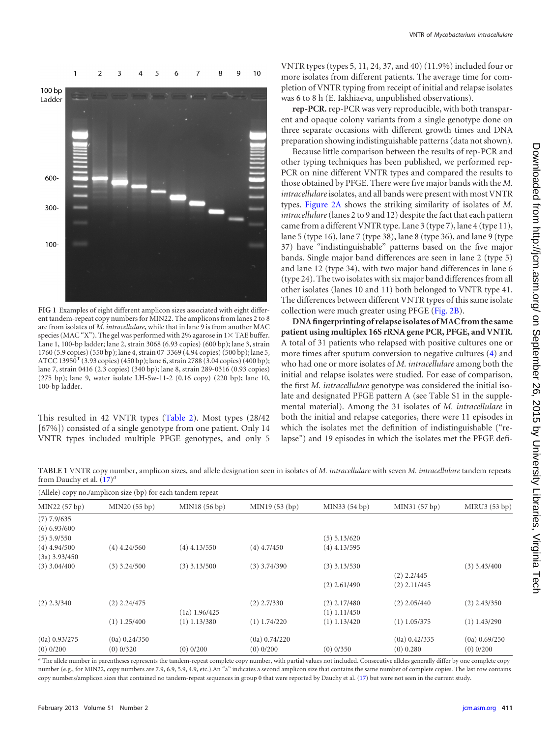

<span id="page-2-0"></span>**FIG 1** Examples of eight different amplicon sizes associated with eight different tandem-repeat copy numbers for MIN22. The amplicons from lanes 2 to 8 are from isolates of *M. intracellulare*, while that in lane 9 is from another MAC species (MAC "X"). The gel was performed with 2% agarose in 1 $\times$  TAE buffer. Lane 1, 100-bp ladder; lane 2, strain 3068 (6.93 copies) (600 bp); lane 3, strain 1760 (5.9 copies) (550 bp); lane 4, strain 07-3369 (4.94 copies) (500 bp); lane 5, ATCC 13950<sup>T</sup> (3.93 copies) (450 bp); lane 6, strain 2788 (3.04 copies) (400 bp); lane 7, strain 0416 (2.3 copies) (340 bp); lane 8, strain 289-0316 (0.93 copies) (275 bp); lane 9, water isolate LH-Sw-11-2 (0.16 copy) (220 bp); lane 10, 100-bp ladder.

This resulted in 42 VNTR types [\(Table 2\)](#page-3-0). Most types (28/42 [67%]) consisted of a single genotype from one patient. Only 14 VNTR types included multiple PFGE genotypes, and only 5 VNTR types (types 5, 11, 24, 37, and 40) (11.9%) included four or more isolates from different patients. The average time for completion of VNTR typing from receipt of initial and relapse isolates was 6 to 8 h (E. Iakhiaeva, unpublished observations).

**rep-PCR.** rep-PCR was very reproducible, with both transparent and opaque colony variants from a single genotype done on three separate occasions with different growth times and DNA preparation showing indistinguishable patterns (data not shown).

Because little comparison between the results of rep-PCR and other typing techniques has been published, we performed rep-PCR on nine different VNTR types and compared the results to those obtained by PFGE. There were five major bands with the *M. intracellulare* isolates, and all bands were present with most VNTR types. [Figure 2A](#page-4-0) shows the striking similarity of isolates of *M. intracellulare*(lanes 2 to 9 and 12) despite the fact that each pattern came from a different VNTR type. Lane 3 (type 7), lane 4 (type 11), lane 5 (type 16), lane 7 (type 38), lane 8 (type 36), and lane 9 (type 37) have "indistinguishable" patterns based on the five major bands. Single major band differences are seen in lane 2 (type 5) and lane 12 (type 34), with two major band differences in lane 6 (type 24). The two isolates with six major band differences from all other isolates (lanes 10 and 11) both belonged to VNTR type 41. The differences between different VNTR types of this same isolate collection were much greater using PFGE [\(Fig. 2B\)](#page-4-0).

**DNA fingerprinting of relapse isolates of MAC from the same patient using multiplex 16S rRNA gene PCR, PFGE, and VNTR.** A total of 31 patients who relapsed with positive cultures one or more times after sputum conversion to negative cultures [\(4\)](#page-6-2) and who had one or more isolates of *M. intracellulare* among both the initial and relapse isolates were studied. For ease of comparison, the first *M. intracellulare* genotype was considered the initial isolate and designated PFGE pattern A (see Table S1 in the supplemental material). Among the 31 isolates of *M. intracellulare* in both the initial and relapse categories, there were 11 episodes in which the isolates met the definition of indistinguishable ("relapse") and 19 episodes in which the isolates met the PFGE defi-

<span id="page-2-1"></span>**TABLE 1** VNTR copy number, amplicon sizes, and allele designation seen in isolates of *M. intracellulare* with seven *M. intracellulare* tandem repeats from Dauchy et al. [\(17\)](#page-6-9) *a*

| (Allele) copy no./amplicon size (bp) for each tandem repeat |                 |                |                 |                |                 |                 |  |  |  |  |
|-------------------------------------------------------------|-----------------|----------------|-----------------|----------------|-----------------|-----------------|--|--|--|--|
| MIN22 (57 bp)                                               | MIN20 (55 bp)   | MIN18 (56 bp)  | MIN19 (53 (bp)  | MIN33 (54 bp)  | MIN31 (57 bp)   | MIRU3(53 bp)    |  |  |  |  |
| $(7)$ 7.9/635<br>$(6)$ 6.93/600                             |                 |                |                 |                |                 |                 |  |  |  |  |
| $(5)$ 5.9/550                                               |                 |                |                 | $(5)$ 5.13/620 |                 |                 |  |  |  |  |
| $(4)$ 4.94/500                                              | $(4)$ 4.24/560  | $(4)$ 4.13/550 | $(4)$ 4.7/450   | $(4)$ 4.13/595 |                 |                 |  |  |  |  |
| $(3a)$ 3.93/450                                             |                 |                |                 |                |                 |                 |  |  |  |  |
| $(3)$ 3.04/400                                              | $(3)$ 3.24/500  | $(3)$ 3.13/500 | $(3)$ 3.74/390  | $(3)$ 3.13/530 |                 | $(3)$ 3.43/400  |  |  |  |  |
|                                                             |                 |                |                 |                | $(2)$ 2.2/445   |                 |  |  |  |  |
|                                                             |                 |                |                 | $(2)$ 2.61/490 | $(2)$ 2.11/445  |                 |  |  |  |  |
| $(2)$ 2.3/340                                               | $(2)$ 2.24/475  |                | $(2)$ 2.7/330   | $(2)$ 2.17/480 | $(2)$ 2.05/440  | $(2)$ 2.43/350  |  |  |  |  |
|                                                             |                 | (1a) 1.96/425  |                 | $(1)$ 1.11/450 |                 |                 |  |  |  |  |
|                                                             | $(1)$ 1.25/400  | $(1)$ 1.13/380 | $(1)$ 1.74/220  | $(1)$ 1.13/420 | $(1)$ 1.05/375  | $(1)$ 1.43/290  |  |  |  |  |
| $(0a)$ 0.93/275                                             | $(0a)$ 0.24/350 |                | $(0a)$ 0.74/220 |                | $(0a)$ 0.42/335 | $(0a)$ 0.69/250 |  |  |  |  |
| $(0)$ 0/200                                                 | $(0)$ 0/320     | $(0)$ 0/200    | $(0)$ 0/200     | $(0)$ 0/350    | $(0)$ 0.280     | $(0)$ 0/200     |  |  |  |  |

*<sup>a</sup>* The allele number in parentheses represents the tandem-repeat complete copy number, with partial values not included. Consecutive alleles generally differ by one complete copy number (e.g., for MIN22, copy numbers are 7.9, 6.9, 5.9, 4.9, etc.).An "a" indicates a second amplicon size that contains the same number of complete copies. The last row contains copy numbers/amplicon sizes that contained no tandem-repeat sequences in group 0 that were reported by Dauchy et al. [\(17\)](#page-6-9) but were not seen in the current study.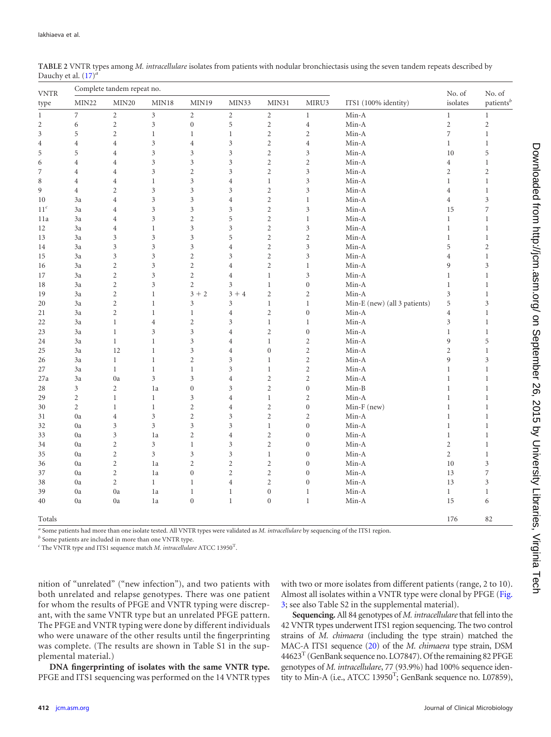| <b>VNTR</b>                     |                | Complete tandem repeat no. |                   |                             |                | No. of           | No. of                      |                              |                  |                             |  |
|---------------------------------|----------------|----------------------------|-------------------|-----------------------------|----------------|------------------|-----------------------------|------------------------------|------------------|-----------------------------|--|
| type                            | MIN22          | MIN20                      | MIN <sub>18</sub> | MIN <sub>19</sub>           | MIN33          | MIN31            | MIRU3                       | ITS1 (100% identity)         | isolates         | $\mbox{patients}^b$         |  |
| $\boldsymbol{7}$<br>$\mathbf 1$ |                | $\sqrt{2}$                 | 3                 | $\sqrt{2}$                  | $\sqrt{2}$     | $\sqrt{2}$       | $\,1$                       | Min-A                        | $\mathbf 1$      | $\mathbf{1}$                |  |
| $\mathbf{2}$                    | 6              | $\sqrt{2}$                 | 3                 | $\boldsymbol{0}$            | 5              | $\mathbf{2}$     | $\,4\,$                     | Min-A                        | $\sqrt{2}$       | $\sqrt{2}$                  |  |
| $\mathfrak{Z}$                  | 5              | $\sqrt{2}$                 | $\,1$             | $\,1$                       | $\mathbf{1}$   | $\mathbf{2}$     | $\sqrt{2}$                  | Min-A                        | $\boldsymbol{7}$ | $\,1$                       |  |
| $\overline{4}$                  | $\overline{4}$ | $\overline{4}$             | 3                 | $\,4$                       | 3              | $\overline{c}$   | $\,4\,$                     | Min-A                        | $\mathbf{1}$     | $\,1$                       |  |
| 5                               | 5              | $\overline{4}$             | 3                 | $\mathfrak z$               | $\mathfrak{Z}$ | $\mathbf{2}$     | $\mathfrak z$               | Min-A                        | 10               | 5                           |  |
| 6                               | $\overline{4}$ | $\overline{4}$             | 3                 | $\mathfrak{Z}$              | 3              | $\mathbf{2}$     | $\sqrt{2}$                  | Min-A                        | $\,4$            | $\mathbf{1}$                |  |
| 7                               | $\overline{4}$ | $\overline{4}$             | 3                 | $\sqrt{2}$                  | 3              | $\mathbf{2}$     | $\mathfrak z$               | Min-A                        | $\mathbf{2}$     | $\sqrt{2}$                  |  |
| 8                               | $\overline{4}$ | $\overline{4}$             | $\,1$             | $\mathfrak z$               | $\overline{4}$ | $\mathbf{1}$     | 3                           | Min-A                        | $\mathbf{1}$     | $\,1$                       |  |
| 9                               | $\,4\,$        | $\overline{c}$             | 3                 | $\mathfrak{Z}$              | 3              | $\boldsymbol{2}$ | $\mathfrak z$               | Min-A                        | $\overline{4}$   | $\mathbf{1}$                |  |
| 10                              | 3a             | $\overline{4}$             | 3                 | $\mathfrak{Z}$              | $\overline{4}$ | $\boldsymbol{2}$ | $\,1\,$                     | Min-A                        | $\overline{4}$   | $\mathfrak z$               |  |
| 11 <sup>c</sup>                 | 3a             | 4                          | 3                 | 3                           | 3              | $\overline{c}$   | $\mathfrak z$               | Min-A                        | 15               | $\boldsymbol{7}$            |  |
| 11a                             | 3a             | $\overline{4}$             | 3                 | $\sqrt{2}$                  | 5              | $\overline{c}$   | $\mathbf{1}$                | Min-A                        | $\mathbf{1}$     | $\mathbf{1}$                |  |
| 12                              | 3a             | $\overline{4}$             | $\mathbf 1$       | $\mathfrak{Z}$              | 3              | $\overline{c}$   | $\mathfrak z$               | Min-A                        | $\mathbf{1}$     | $\mathbf{1}$                |  |
| 13                              | 3a             | 3                          | 3                 | 3                           | 5              | $\overline{c}$   | $\sqrt{2}$                  | Min-A                        | $\mathbf{1}$     | $\mathbf{1}$                |  |
| 14                              | 3a             | 3                          | 3                 | $\mathfrak{Z}$              | $\overline{4}$ | $\boldsymbol{2}$ | $\ensuremath{\mathfrak{Z}}$ | Min-A                        | 5                | $\sqrt{2}$                  |  |
| 15                              | 3a             | 3                          | 3                 | $\sqrt{2}$                  | 3              | $\overline{c}$   | $\mathfrak z$               | Min-A                        | $\overline{4}$   | $\mathbf{1}$                |  |
| 16                              | 3a             | $\mathbf{2}$               | 3                 | $\sqrt{2}$                  | $\overline{4}$ | $\overline{c}$   | $\,1$                       | Min-A                        | 9                | $\ensuremath{\mathfrak{Z}}$ |  |
| 17                              | 3a             | $\mathbf{2}$               | 3                 | $\sqrt{2}$                  | $\,4$          | $\mathbf{1}$     | 3                           | Min-A                        | $\mathbf{1}$     | $\,1$                       |  |
| 18                              | 3a             | $\mathbf{2}$               | 3                 | $\sqrt{2}$                  | 3              | $\,1$            | $\boldsymbol{0}$            | Min-A                        | $\,1$            | $\,1$                       |  |
| 19                              | 3a             | $\boldsymbol{2}$           | $\,1$             | $3 + 2$                     | $3 + 4$        | $\boldsymbol{2}$ | $\sqrt{2}$                  | Min-A                        | $\mathfrak z$    | $\,1$                       |  |
| 20                              | 3a             | $\boldsymbol{2}$           | $\,1$             | $\ensuremath{\mathfrak{Z}}$ | 3              | $\,1$            | $\mathbf{1}$                | Min-E (new) (all 3 patients) | 5                | $\mathfrak z$               |  |
| $21\,$                          | 3a             | $\mathbf{2}$               | $\,1$             | $\mathbf{1}$                | $\overline{4}$ | $\boldsymbol{2}$ | $\boldsymbol{0}$            | Min-A                        | $\,4\,$          | $\mathbf{1}$                |  |
| 22                              | 3a             | $\,1$                      | $\overline{4}$    | $\sqrt{2}$                  | $\mathfrak{Z}$ | $\,1$            | $\,1$                       | Min-A                        | $\mathfrak{Z}$   | $\,1$                       |  |
| 23                              | 3a             | $\,1$                      | 3                 | $\mathfrak z$               | $\overline{4}$ | $\overline{c}$   | $\boldsymbol{0}$            | Min-A                        | $\,1$            | $\mathbf{1}$                |  |
| 24                              | 3a             | $\,1$                      | $\,1$             | $\mathfrak{Z}$              | $\overline{4}$ | $\mathbf 1$      | $\sqrt{2}$                  | Min-A                        | $\overline{9}$   | 5                           |  |
| 25                              | 3a             | 12                         | $\,1$             | 3                           | $\overline{4}$ | $\boldsymbol{0}$ | $\sqrt{2}$                  | Min-A                        | $\mathbf{2}$     | $\mathbf{1}$                |  |
| 26                              | 3a             | $\mathbf{1}$               | $\,1$             | $\sqrt{2}$                  | 3              | $\mathbf 1$      | $\sqrt{2}$                  | Min-A                        | 9                | $\mathfrak z$               |  |
| 27                              | 3a             | $\mathbf{1}$               | $\,1$             | $\mathbf{1}$                | 3              | $\,1$            | $\sqrt{2}$                  | Min-A                        | $\mathbf{1}$     | $\mathbf{1}$                |  |
| 27a                             | 3a             | 0a                         | 3                 | $\ensuremath{\mathfrak{Z}}$ | $\overline{4}$ | $\overline{c}$   | $\sqrt{2}$                  | Min-A                        | $\mathbf{1}$     | $\mathbf{1}$                |  |
| 28                              | $\mathfrak{Z}$ | $\mathbf{2}$               | 1a                | $\boldsymbol{0}$            | $\mathfrak z$  | $\boldsymbol{2}$ | $\boldsymbol{0}$            | $Min-B$                      | $\,1$            | $\mathbf{1}$                |  |
| 29                              | $\sqrt{2}$     | $\mathbf{1}$               | $\mathbf 1$       | 3                           | $\overline{4}$ | $\,1$            | $\sqrt{2}$                  | $Min-A$                      | $\mathbf{1}$     | $\mathbf{1}$                |  |
| 30                              | $\sqrt{2}$     | $\,1\,$                    | $\,1$             | $\sqrt{2}$                  | $\overline{4}$ | $\overline{c}$   | $\boldsymbol{0}$            | Min-F (new)                  | $\mathbf{1}$     | $\,1\,$                     |  |
| 31                              | 0a             | $\overline{4}$             | 3                 | $\sqrt{2}$                  | $\mathfrak{Z}$ | $\mathbf{2}$     | $\sqrt{2}$                  | Min-A                        | $\mathbf{1}$     | $\,1$                       |  |
| 32                              | 0a             | 3                          | 3                 | $\mathfrak{Z}$              | 3              | $\mathbf 1$      | $\boldsymbol{0}$            | Min-A                        | $\mathbf{1}$     | $\,1\,$                     |  |
| 33                              | 0a             | 3                          | 1a                | $\sqrt{2}$                  | $\overline{4}$ | $\mathbf{2}$     | $\boldsymbol{0}$            | Min-A                        | $\mathbf{1}$     | $\,1$                       |  |
| 34                              | 0a             | $\mathbf{2}$               | 3                 | $\mathbf{1}$                | 3              | $\mathbf{2}$     | $\boldsymbol{0}$            | Min-A                        | $\sqrt{2}$       | $\,1$                       |  |
| 35                              | 0a             | $\boldsymbol{2}$           | 3                 | $\mathfrak z$               | $\mathfrak{Z}$ | $\,1$            | $\boldsymbol{0}$            | Min-A                        | $\sqrt{2}$       | $\,1$                       |  |
| 36                              | 0a             | $\mathbf{2}$               | 1a                | $\sqrt{2}$                  | $\overline{c}$ | $\overline{c}$   | $\boldsymbol{0}$            | Min-A                        | 10               | 3                           |  |
| 37                              | 0a             | $\boldsymbol{2}$           | 1a                | $\boldsymbol{0}$            | $\overline{c}$ | $\boldsymbol{2}$ | $\boldsymbol{0}$            | Min-A                        | 13               | $\boldsymbol{7}$            |  |
| 38                              | 0a             | $\sqrt{2}$                 | $\,1$             | $\mathbf{1}$                | $\overline{4}$ | $\boldsymbol{2}$ | $\boldsymbol{0}$            | Min-A                        | 13               | $\mathfrak z$               |  |
| 39                              | 0a             | 0a                         | 1a                | $\mathbf{1}$                | $\mathbf{1}$   | $\boldsymbol{0}$ | $\mathbf{1}$                | Min-A                        | $\mathbf{1}$     | 1                           |  |
| 40                              | 0a             | 0a                         | 1a                | $\boldsymbol{0}$            | $\mathbf{1}$   | $\boldsymbol{0}$ | $\,1$                       | Min-A                        | 15               | 6                           |  |
| Totals                          |                |                            |                   |                             |                |                  |                             |                              | 176              | 82                          |  |

<span id="page-3-0"></span>**TABLE 2** VNTR types among *M. intracellulare* isolates from patients with nodular bronchiectasis using the seven tandem repeats described by Dauchy et al. [\(17\)](#page-6-9) *a*

*<sup>a</sup>* Some patients had more than one isolate tested. All VNTR types were validated as *M. intracellulare* by sequencing of the ITS1 region.

*<sup>b</sup>* Some patients are included in more than one VNTR type.

*<sup>c</sup>* The VNTR type and ITS1 sequence match *M. intracellulare* ATCC 13950<sup>T</sup> .

nition of "unrelated" ("new infection"), and two patients with both unrelated and relapse genotypes. There was one patient for whom the results of PFGE and VNTR typing were discrepant, with the same VNTR type but an unrelated PFGE pattern. The PFGE and VNTR typing were done by different individuals who were unaware of the other results until the fingerprinting was complete. (The results are shown in Table S1 in the supplemental material.)

**DNA fingerprinting of isolates with the same VNTR type.** PFGE and ITS1 sequencing was performed on the 14 VNTR types with two or more isolates from different patients (range, 2 to 10). Almost all isolates within a VNTR type were clonal by PFGE [\(Fig.](#page-4-1) [3;](#page-4-1) see also Table S2 in the supplemental material).

**Sequencing.** All 84 genotypes of *M. intracellulare*that fell into the 42 VNTR types underwent ITS1 region sequencing. The two control strains of *M. chimaera* (including the type strain) matched the MAC-A ITS1 sequence [\(20\)](#page-7-3) of the *M. chimaera* type strain, DSM  $44623<sup>T</sup>$  (GenBank sequence no. LO7847). Of the remaining 82 PFGE genotypes of *M. intracellulare*, 77 (93.9%) had 100% sequence identity to Min-A (i.e., ATCC 13950<sup>T</sup>; GenBank sequence no. L07859),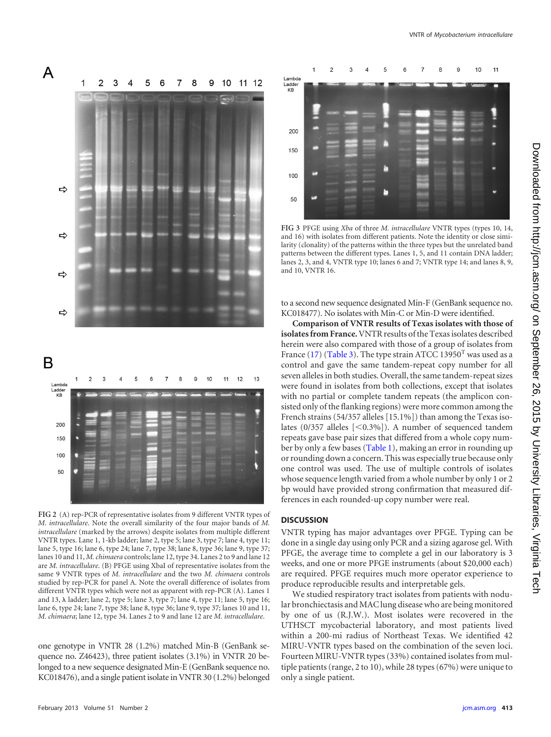

<span id="page-4-0"></span>**FIG 2** (A) rep-PCR of representative isolates from 9 different VNTR types of *M. intracellulare*. Note the overall similarity of the four major bands of *M. intracellulare* (marked by the arrows) despite isolates from multiple different VNTR types. Lane 1, 1-kb ladder; lane 2, type 5; lane 3, type 7; lane 4, type 11; lane 5, type 16; lane 6, type 24; lane 7, type 38; lane 8, type 36; lane 9, type 37; lanes 10 and 11, *M. chimaera* controls; lane 12, type 34. Lanes 2 to 9 and lane 12 are *M. intracellulare*. (B) PFGE using XbaI of representative isolates from the same 9 VNTR types of *M. intracellulare* and the two *M. chimaera* controls studied by rep-PCR for panel A. Note the overall difference of isolates from different VNTR types which were not as apparent with rep-PCR (A). Lanes 1 and 13,  $\lambda$  ladder; lane 2, type 5; lane 3, type 7; lane 4, type 11; lane 5, type 16; lane 6, type 24; lane 7, type 38; lane 8, type 36; lane 9, type 37; lanes 10 and 11, *M. chimaera*; lane 12, type 34. Lanes 2 to 9 and lane 12 are *M. intracellulare*.

one genotype in VNTR 28 (1.2%) matched Min-B (GenBank sequence no. Z46423), three patient isolates (3.1%) in VNTR 20 belonged to a new sequence designated Min-E (GenBank sequence no. KC018476), and a single patient isolate in VNTR 30 (1.2%) belonged



<span id="page-4-1"></span>**FIG 3** PFGE using *Xba* of three *M. intracellulare* VNTR types (types 10, 14, and 16) with isolates from different patients. Note the identity or close similarity (clonality) of the patterns within the three types but the unrelated band patterns between the different types. Lanes 1, 5, and 11 contain DNA ladder; lanes 2, 3, and 4, VNTR type 10; lanes 6 and 7; VNTR type 14; and lanes 8, 9, and 10, VNTR 16.

to a second new sequence designated Min-F (GenBank sequence no. KC018477). No isolates with Min-C or Min-D were identified.

**Comparison of VNTR results of Texas isolates with those of isolates from France.**VNTR results of the Texas isolates described herein were also compared with those of a group of isolates from France [\(17\)](#page-6-9) [\(Table 3\)](#page-5-0). The type strain ATCC 13950<sup>T</sup> was used as a control and gave the same tandem-repeat copy number for all seven alleles in both studies. Overall, the same tandem-repeat sizes were found in isolates from both collections, except that isolates with no partial or complete tandem repeats (the amplicon consisted only of the flanking regions) were more common among the French strains (54/357 alleles [15.1%]) than among the Texas isolates  $(0/357$  alleles  $\lceil 0.3\% \rceil$ ). A number of sequenced tandem repeats gave base pair sizes that differed from a whole copy num-ber by only a few bases [\(Table 1\)](#page-2-1), making an error in rounding up or rounding down a concern. This was especially true because only one control was used. The use of multiple controls of isolates whose sequence length varied from a whole number by only 1 or 2 bp would have provided strong confirmation that measured differences in each rounded-up copy number were real.

# **DISCUSSION**

VNTR typing has major advantages over PFGE. Typing can be done in a single day using only PCR and a sizing agarose gel. With PFGE, the average time to complete a gel in our laboratory is 3 weeks, and one or more PFGE instruments (about \$20,000 each) are required. PFGE requires much more operator experience to produce reproducible results and interpretable gels.

We studied respiratory tract isolates from patients with nodular bronchiectasis and MAC lung disease who are being monitored by one of us (R.J.W.). Most isolates were recovered in the UTHSCT mycobacterial laboratory, and most patients lived within a 200-mi radius of Northeast Texas. We identified 42 MIRU-VNTR types based on the combination of the seven loci. Fourteen MIRU-VNTR types (33%) contained isolates from multiple patients (range, 2 to 10), while 28 types (67%) were unique to only a single patient.

150 100 50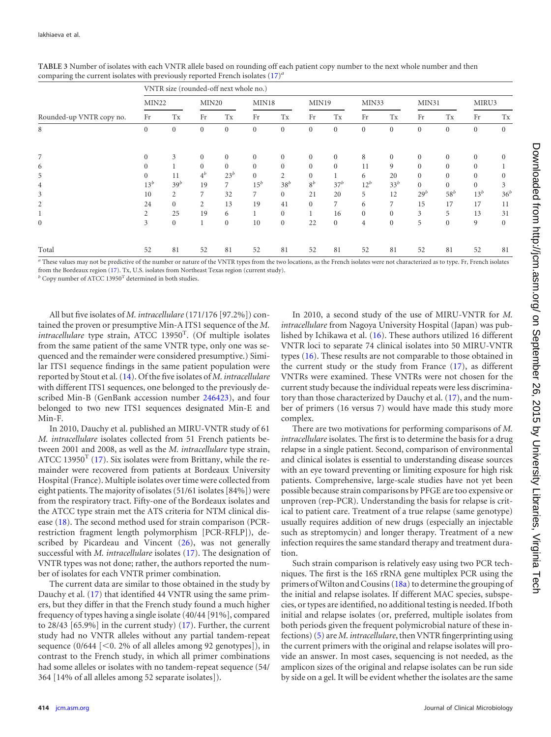|                          | VNTR size (rounded-off next whole no.) |                  |                   |              |                   |                |                  |              |                  |                  |                  |                |                  |                  |
|--------------------------|----------------------------------------|------------------|-------------------|--------------|-------------------|----------------|------------------|--------------|------------------|------------------|------------------|----------------|------------------|------------------|
|                          | MIN22                                  |                  | MIN <sub>20</sub> |              | MIN <sub>18</sub> |                | MIN19            |              | MIN33            |                  | MIN31            |                | MIRU3            |                  |
| Rounded-up VNTR copy no. | Fr                                     | Tx               | Fr                | Tx           | Fr                | Tx             | Fr               | Tx           | Fr               | Tx               | Fr               | Tx             | Fr               | Tx               |
| 8                        | $\mathbf{0}$                           | $\boldsymbol{0}$ | $\mathbf{0}$      | $\mathbf{0}$ | $\mathbf{0}$      | $\mathbf{0}$   | $\boldsymbol{0}$ | $\mathbf{0}$ | $\boldsymbol{0}$ | $\boldsymbol{0}$ | $\boldsymbol{0}$ | $\mathbf{0}$   | $\boldsymbol{0}$ | $\boldsymbol{0}$ |
| 7                        | $\Omega$                               | 3                | $\Omega$          | $\Omega$     | $\overline{0}$    | $\overline{0}$ | $\mathbf{0}$     | $\mathbf{0}$ | 8                | $\Omega$         | $\mathbf{0}$     | $\Omega$       | $\Omega$         | $\overline{0}$   |
| 6                        | $\Omega$                               |                  | $\mathbf{0}$      | $\Omega$     | $\overline{0}$    | $\overline{0}$ | $\Omega$         | $\Omega$     | 11               | 9                | $\mathbf{0}$     | $\mathbf{0}$   | $\Omega$         |                  |
| 5                        | $\Omega$                               | 11               | $4^b$             | $23^b$       | $\overline{0}$    | $\overline{2}$ | $\Omega$         |              | 6                | 20               | $\overline{0}$   | $\overline{0}$ | $\Omega$         | $\overline{0}$   |
| $\overline{4}$           | $13^b$                                 | 39 <sup>b</sup>  | 19                | $7^{\circ}$  | $15^b$            | $38^b$         | $8^b$            | $37^b$       | $12^b$           | $33^b$           | $\Omega$         | $\overline{0}$ | $\Omega$         | 3                |
| 3                        | 10                                     | $\overline{c}$   | 7                 | 32           | 7                 | $\Omega$       | 21               | 20           | 5                | 12               | $29^b$           | $58^b$         | $13^b$           | 36 <sup>k</sup>  |
| 2                        | 24                                     | $\overline{0}$   | $\overline{2}$    | 13           | 19                | 41             | $\Omega$         | 7            | 6                | 7                | 15               | 17             | 17               | 11               |
|                          | 2                                      | 25               | 19                | 6            |                   | $\overline{0}$ |                  | 16           | $\mathbf{0}$     | $\mathbf{0}$     | 3                | 5              | 13               | 31               |
| $\mathbf{0}$             | 3                                      | $\overline{0}$   |                   | $\mathbf{0}$ | 10                | $\overline{0}$ | 22               | $\mathbf{0}$ | $\overline{4}$   | $\mathbf{0}$     | 5                | $\mathbf{0}$   | 9                | $\mathbf{0}$     |
| Total                    | 52                                     | 81               | 52                | 81           | 52                | 81             | 52               | 81           | 52               | 81               | 52               | 81             | 52               | 81               |

<span id="page-5-0"></span>**TABLE 3** Number of isolates with each VNTR allele based on rounding off each patient copy number to the next whole number and then comparing the current isolates with previously reported French isolates [\(17\)](#page-6-9) *a*

*<sup>a</sup>* These values may not be predictive of the number or nature of the VNTR types from the two locations, as the French isolates were not characterized as to type. Fr, French isolates from the Bordeaux region [\(17\)](#page-6-9). Tx, U.S. isolates from Northeast Texas region (current study).

*b* Copy number of ATCC 13950<sup>T</sup> determined in both studies.

All but five isolates of *M. intracellulare*(171/176 [97.2%]) contained the proven or presumptive Min-A ITS1 sequence of the *M.* intracellulare type strain, ATCC 13950<sup>T</sup>. (Of multiple isolates from the same patient of the same VNTR type, only one was sequenced and the remainder were considered presumptive.) Similar ITS1 sequence findings in the same patient population were reported by Stout et al. [\(14\)](#page-6-11). Of the five isolates of *M. intracellulare* with different ITS1 sequences, one belonged to the previously described Min-B (GenBank accession number [246423\)](http://www.ncbi.nlm.nih.gov/nuccore?term=246423), and four belonged to two new ITS1 sequences designated Min-E and Min-F.

In 2010, Dauchy et al. published an MIRU-VNTR study of 61 *M. intracellulare* isolates collected from 51 French patients between 2001 and 2008, as well as the *M. intracellulare* type strain, ATCC 13950<sup>T</sup> [\(17\)](#page-6-9). Six isolates were from Brittany, while the remainder were recovered from patients at Bordeaux University Hospital (France). Multiple isolates over time were collected from eight patients. The majority of isolates (51/61 isolates [84%]) were from the respiratory tract. Fifty-one of the Bordeaux isolates and the ATCC type strain met the ATS criteria for NTM clinical disease [\(18\)](#page-7-0). The second method used for strain comparison (PCRrestriction fragment length polymorphism [PCR-RFLP]), de-scribed by Picardeau and Vincent [\(26\)](#page-7-9), was not generally successful with *M. intracellulare* isolates [\(17\)](#page-6-9). The designation of VNTR types was not done; rather, the authors reported the number of isolates for each VNTR primer combination.

The current data are similar to those obtained in the study by Dauchy et al. [\(17\)](#page-6-9) that identified 44 VNTR using the same primers, but they differ in that the French study found a much higher frequency of types having a single isolate (40/44 [91%], compared to 28/43 [65.9%] in the current study) [\(17\)](#page-6-9). Further, the current study had no VNTR alleles without any partial tandem-repeat sequence  $(0/644 \leq 0.2\% \text{ of all alleles among } 92 \text{ genotypes}])$ , in contrast to the French study, in which all primer combinations had some alleles or isolates with no tandem-repeat sequence (54/ 364 [14% of all alleles among 52 separate isolates]).

In 2010, a second study of the use of MIRU-VNTR for *M. intracellulare* from Nagoya University Hospital (Japan) was published by Ichikawa et al. [\(16\)](#page-6-8). These authors utilized 16 different VNTR loci to separate 74 clinical isolates into 50 MIRU-VNTR types [\(16\)](#page-6-8). These results are not comparable to those obtained in the current study or the study from France [\(17\)](#page-6-9), as different VNTRs were examined. These VNTRs were not chosen for the current study because the individual repeats were less discriminatory than those characterized by Dauchy et al. [\(17\)](#page-6-9), and the number of primers (16 versus 7) would have made this study more complex.

There are two motivations for performing comparisons of *M. intracellulare* isolates. The first is to determine the basis for a drug relapse in a single patient. Second, comparison of environmental and clinical isolates is essential to understanding disease sources with an eye toward preventing or limiting exposure for high risk patients. Comprehensive, large-scale studies have not yet been possible because strain comparisons by PFGE are too expensive or unproven (rep-PCR). Understanding the basis for relapse is critical to patient care. Treatment of a true relapse (same genotype) usually requires addition of new drugs (especially an injectable such as streptomycin) and longer therapy. Treatment of a new infection requires the same standard therapy and treatment duration.

Such strain comparison is relatively easy using two PCR techniques. The first is the 16S rRNA gene multiplex PCR using the primers ofWilton and Cousins [\(18a\)](#page-7-1) to determine the grouping of the initial and relapse isolates. If different MAC species, subspecies, or types are identified, no additional testing is needed. If both initial and relapse isolates (or, preferred, multiple isolates from both periods given the frequent polymicrobial nature of these infections) [\(5\)](#page-6-3) are *M. intracellulare*, then VNTR fingerprinting using the current primers with the original and relapse isolates will provide an answer. In most cases, sequencing is not needed, as the amplicon sizes of the original and relapse isolates can be run side by side on a gel. It will be evident whether the isolates are the same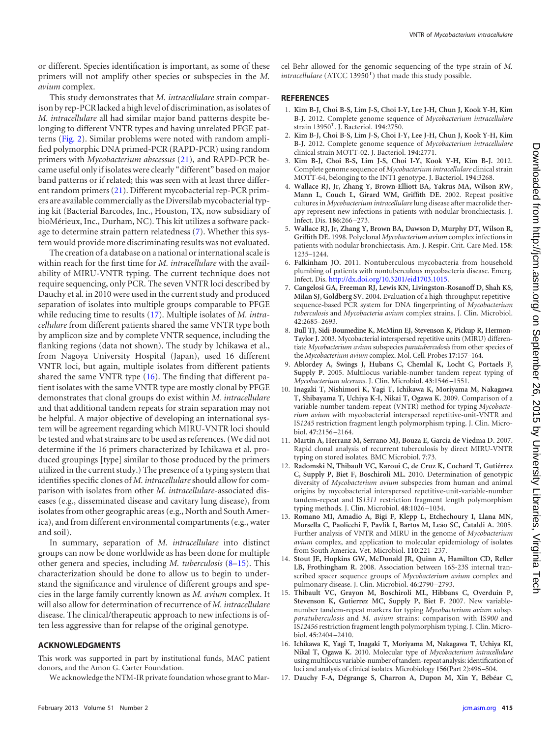or different. Species identification is important, as some of these primers will not amplify other species or subspecies in the *M. avium* complex.

This study demonstrates that *M. intracellulare* strain comparison by rep-PCR lacked a high level of discrimination, as isolates of *M. intracellulare* all had similar major band patterns despite belonging to different VNTR types and having unrelated PFGE patterns [\(Fig. 2\)](#page-4-0). Similar problems were noted with random amplified polymorphic DNA primed-PCR (RAPD-PCR) using random primers with *Mycobacterium abscessus* [\(21\)](#page-7-4), and RAPD-PCR became useful only if isolates were clearly "different" based on major band patterns or if related; this was seen with at least three different random primers [\(21\)](#page-7-4). Different mycobacterial rep-PCR primers are available commercially as the Diversilab mycobacterial typing kit (Bacterial Barcodes, Inc., Houston, TX, now subsidiary of bioMérieux, Inc., Durham, NC). This kit utilizes a software package to determine strain pattern relatedness [\(7\)](#page-6-5). Whether this system would provide more discriminating results was not evaluated.

The creation of a database on a national or international scale is within reach for the first time for *M. intracellulare* with the availability of MIRU-VNTR typing. The current technique does not require sequencing, only PCR. The seven VNTR loci described by Dauchy et al. in 2010 were used in the current study and produced separation of isolates into multiple groups comparable to PFGE while reducing time to results [\(17\)](#page-6-9). Multiple isolates of *M. intracellulare* from different patients shared the same VNTR type both by amplicon size and by complete VNTR sequence, including the flanking regions (data not shown). The study by Ichikawa et al., from Nagoya University Hospital (Japan), used 16 different VNTR loci, but again, multiple isolates from different patients shared the same VNTR type [\(16\)](#page-6-8). The finding that different patient isolates with the same VNTR type are mostly clonal by PFGE demonstrates that clonal groups do exist within *M. intracellulare* and that additional tandem repeats for strain separation may not be helpful. A major objective of developing an international system will be agreement regarding which MIRU-VNTR loci should be tested and what strains are to be used as references. (We did not determine if the 16 primers characterized by Ichikawa et al. produced groupings [type] similar to those produced by the primers utilized in the current study.) The presence of a typing system that identifies specific clones of *M. intracellulare*should allow for comparison with isolates from other *M. intracellulare*-associated diseases (e.g., disseminated disease and cavitary lung disease), from isolates from other geographic areas (e.g., North and South America), and from different environmental compartments (e.g., water and soil).

In summary, separation of *M. intracellulare* into distinct groups can now be done worldwide as has been done for multiple other genera and species, including *M. tuberculosis* [\(8](#page-6-6)[–15\)](#page-6-7). This characterization should be done to allow us to begin to understand the significance and virulence of different groups and species in the large family currently known as *M. avium* complex. It will also allow for determination of recurrence of *M. intracellulare* disease. The clinical/therapeutic approach to new infections is often less aggressive than for relapse of the original genotype.

# **ACKNOWLEDGMENTS**

This work was supported in part by institutional funds, MAC patient donors, and the Amon G. Carter Foundation.

We acknowledge the NTM-IR private foundation whose grant to Mar-

# <span id="page-6-0"></span>**REFERENCES**

- 1. **Kim B-J, Choi B-S, Lim J-S, Choi I-Y, Lee J-H, Chun J, Kook Y-H, Kim B-J.** 2012. Complete genome sequence of *Mycobacterium intracellulare* strain 13950T . J. Bacteriol. **194**:2750.
- 2. **Kim B-J, Choi B-S, Lim J-S, Choi I-Y, Lee J-H, Chun J, Kook Y-H, Kim B-J.** 2012. Complete genome sequence of *Mycobacterium intracellulare* clinical strain MOTT-02. J. Bacteriol. **194**:2771.
- <span id="page-6-1"></span>3. **Kim B-J, Choi B-S, Lim J-S, Choi I-Y, Kook Y-H, Kim B-J.** 2012. Complete genome sequence of *Mycobacterium intracellulare* clinical strain MOTT-64, belonging to the INT1 genotype. J. Bacteriol. **194**:3268.
- <span id="page-6-2"></span>4. **Wallace RJ, Jr, Zhang Y, Brown-Elliott BA, Yakrus MA, Wilson RW, Mann L, Couch L, Girard WM, Griffith DE.** 2002. Repeat positive cultures in *Mycobacterium intracellulare*lung disease after macrolide therapy represent new infections in patients with nodular bronchiectasis. J. Infect. Dis. **186**:266 –273.
- <span id="page-6-3"></span>5. **Wallace RJ, Jr, Zhang Y, Brown BA, Dawson D, Murphy DT, Wilson R, Griffith DE.** 1998. Polyclonal *Mycobacterium avium* complex infections in patients with nodular bronchiectasis. Am. J. Respir. Crit. Care Med. **158**: 1235–1244.
- <span id="page-6-4"></span>6. **Falkinham JO.** 2011. Nontuberculous mycobacteria from household plumbing of patients with nontuberculous mycobacteria disease. Emerg. Infect. Dis. [http://dx.doi.org/10.3201/eid1703.1015.](http://dx.doi.org/10.3201/eid1703.1015)
- <span id="page-6-5"></span>7. **Cangelosi GA, Freeman RJ, Lewis KN, Livingston-Rosanoff D, Shah KS, Milan SJ, Goldberg SV.** 2004. Evaluation of a high-throughput repetitivesequence-based PCR system for DNA fingerprinting of *Mycobacterium tuberculosis* and *Mycobacteria avium* complex strains. J. Clin. Microbiol. **42**:2685–2693.
- <span id="page-6-6"></span>8. **Bull TJ, Sidi-Boumedine K, McMinn EJ, Stevenson K, Pickup R, Hermon-Taylor J.** 2003. Mycobacterial interspersed repetitive units (MIRU) differentiate *Mycobacterium avium* subspecies *paratuberculosis* from other species of the *Mycobacterium avium* complex. Mol. Cell. Probes **17**:157–164.
- <span id="page-6-10"></span>9. **Ablordey A, Swings J, Hubans C, Chemlal K, Locht C, Portaels F, Supply P.** 2005. Multilocus variable-number tandem repeat typing of *Mycobacterium ulcerans*. J. Clin. Microbiol. **43**:1546 –1551.
- 10. **Inagaki T, Nishimori K, Yagi T, Ichikawa K, Moriyama M, Nakagawa T, Shibayama T, Uchiya K-I, Nikai T, Ogawa K.** 2009. Comparison of a variable-number tandem-repeat (VNTR) method for typing *Mycobacterium avium* with mycobacterial interspersed repetitive-unit-VNTR and IS*1245* restriction fragment length polymorphism typing. J. Clin. Microbiol. **47**:2156 –2164.
- 11. **Martín A, Herranz M, Serrano MJ, Bouza E, Garcia de Viedma D.** 2007. Rapid clonal analysis of recurrent tuberculosis by direct MIRU-VNTR typing on stored isolates. BMC Microbiol. **7**:73.
- 12. **Radomski N, Thibault VC, Karoui C, de Cruz K, Cochard T, Gutiérrez C, Supply P, Biet F, Boschiroli ML.** 2010. Determination of genotypic diversity of *Mycobacterium avium* subspecies from human and animal origins by mycobacterial interspersed repetitive-unit-variable-number tandem-repeat and IS*1311* restriction fragment length polymorphism typing methods. J. Clin. Microbiol. **48**:1026 –1034.
- 13. **Romano MI, Amadio A, Bigi F, Klepp L, Etchechoury I, Llana MN, Morsella C, Paolicchi F, Pavlik I, Bartos M, Leão SC, Cataldi A.** 2005. Further analysis of VNTR and MIRU in the genome of *Mycobacterium avium* complex, and application to molecular epidemiology of isolates from South America. Vet. Microbiol. **110**:221–237.
- <span id="page-6-11"></span>14. **Stout JE, Hopkins GW, McDonald JR, Quinn A, Hamilton CD, Reller LB, Frothingham R.** 2008. Association between 16S-23S internal transcribed spacer sequence groups of *Mycobacterium avium* complex and pulmonary disease. J. Clin. Microbiol. **46**:2790 –2793.
- <span id="page-6-7"></span>15. **Thibault VC, Grayon M, Boschiroli ML, Hibbans C, Overduin P, Stevenson K, Gutierrez MC, Supply P, Biet F.** 2007. New variablenumber tandem-repeat markers for typing *Mycobacterium avium* subsp. *paratuberculosis* and *M. avium* strains: comparison with IS*900* and IS*12456* restriction fragment length polymorphism typing. J. Clin. Microbiol. **45**:2404 –2410.
- <span id="page-6-8"></span>16. **Ichikawa K, Yagi T, Inagaki T, Moriyama M, Nakagawa T, Uchiya KI, Nikal T, Ogawa K.** 2010. Molecular type of *Mycobacterium intracellulare* using multilocus variable-number of tandem-repeat analysis: identification of loci and analysis of clinical isolates. Microbiology **156**(Part 2):496 –504.
- <span id="page-6-9"></span>17. **Dauchy F-A, Dégrange S, Charron A, Dupon M, Xin Y, Bébéar C,**